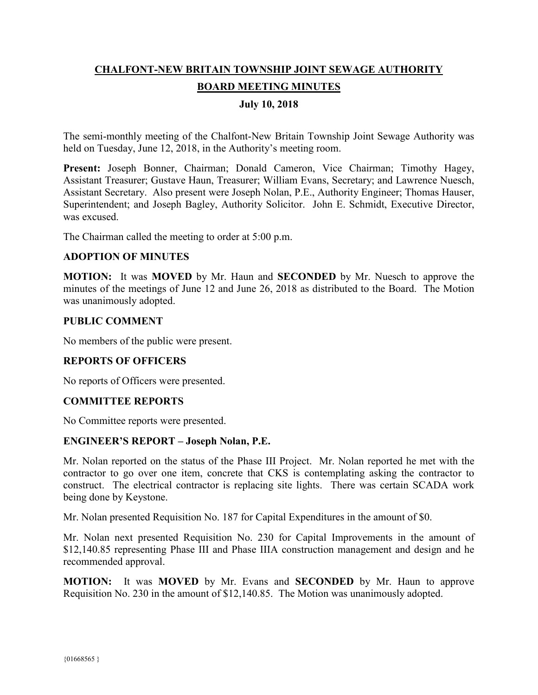# **CHALFONT-NEW BRITAIN TOWNSHIP JOINT SEWAGE AUTHORITY BOARD MEETING MINUTES**

## **July 10, 2018**

The semi-monthly meeting of the Chalfont-New Britain Township Joint Sewage Authority was held on Tuesday, June 12, 2018, in the Authority's meeting room.

Present: Joseph Bonner, Chairman; Donald Cameron, Vice Chairman; Timothy Hagey, Assistant Treasurer; Gustave Haun, Treasurer; William Evans, Secretary; and Lawrence Nuesch, Assistant Secretary. Also present were Joseph Nolan, P.E., Authority Engineer; Thomas Hauser, Superintendent; and Joseph Bagley, Authority Solicitor. John E. Schmidt, Executive Director, was excused.

The Chairman called the meeting to order at 5:00 p.m.

#### **ADOPTION OF MINUTES**

**MOTION:** It was **MOVED** by Mr. Haun and **SECONDED** by Mr. Nuesch to approve the minutes of the meetings of June 12 and June 26, 2018 as distributed to the Board. The Motion was unanimously adopted.

#### **PUBLIC COMMENT**

No members of the public were present.

#### **REPORTS OF OFFICERS**

No reports of Officers were presented.

#### **COMMITTEE REPORTS**

No Committee reports were presented.

#### **ENGINEER'S REPORT – Joseph Nolan, P.E.**

Mr. Nolan reported on the status of the Phase III Project. Mr. Nolan reported he met with the contractor to go over one item, concrete that CKS is contemplating asking the contractor to construct. The electrical contractor is replacing site lights. There was certain SCADA work being done by Keystone.

Mr. Nolan presented Requisition No. 187 for Capital Expenditures in the amount of \$0.

Mr. Nolan next presented Requisition No. 230 for Capital Improvements in the amount of \$12,140.85 representing Phase III and Phase IIIA construction management and design and he recommended approval.

**MOTION:** It was **MOVED** by Mr. Evans and **SECONDED** by Mr. Haun to approve Requisition No. 230 in the amount of \$12,140.85. The Motion was unanimously adopted.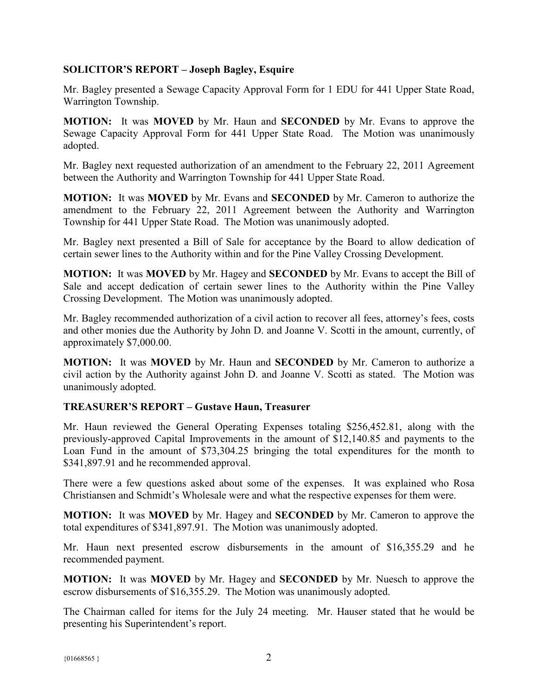## **SOLICITOR'S REPORT – Joseph Bagley, Esquire**

Mr. Bagley presented a Sewage Capacity Approval Form for 1 EDU for 441 Upper State Road, Warrington Township.

**MOTION:** It was **MOVED** by Mr. Haun and **SECONDED** by Mr. Evans to approve the Sewage Capacity Approval Form for 441 Upper State Road. The Motion was unanimously adopted.

Mr. Bagley next requested authorization of an amendment to the February 22, 2011 Agreement between the Authority and Warrington Township for 441 Upper State Road.

**MOTION:** It was **MOVED** by Mr. Evans and **SECONDED** by Mr. Cameron to authorize the amendment to the February 22, 2011 Agreement between the Authority and Warrington Township for 441 Upper State Road. The Motion was unanimously adopted.

Mr. Bagley next presented a Bill of Sale for acceptance by the Board to allow dedication of certain sewer lines to the Authority within and for the Pine Valley Crossing Development.

**MOTION:** It was **MOVED** by Mr. Hagey and **SECONDED** by Mr. Evans to accept the Bill of Sale and accept dedication of certain sewer lines to the Authority within the Pine Valley Crossing Development. The Motion was unanimously adopted.

Mr. Bagley recommended authorization of a civil action to recover all fees, attorney's fees, costs and other monies due the Authority by John D. and Joanne V. Scotti in the amount, currently, of approximately \$7,000.00.

**MOTION:** It was **MOVED** by Mr. Haun and **SECONDED** by Mr. Cameron to authorize a civil action by the Authority against John D. and Joanne V. Scotti as stated. The Motion was unanimously adopted.

## **TREASURER'S REPORT – Gustave Haun, Treasurer**

Mr. Haun reviewed the General Operating Expenses totaling \$256,452.81, along with the previously-approved Capital Improvements in the amount of \$12,140.85 and payments to the Loan Fund in the amount of \$73,304.25 bringing the total expenditures for the month to \$341,897.91 and he recommended approval.

There were a few questions asked about some of the expenses. It was explained who Rosa Christiansen and Schmidt's Wholesale were and what the respective expenses for them were.

**MOTION:** It was **MOVED** by Mr. Hagey and **SECONDED** by Mr. Cameron to approve the total expenditures of \$341,897.91. The Motion was unanimously adopted.

Mr. Haun next presented escrow disbursements in the amount of \$16,355.29 and he recommended payment.

**MOTION:** It was **MOVED** by Mr. Hagey and **SECONDED** by Mr. Nuesch to approve the escrow disbursements of \$16,355.29. The Motion was unanimously adopted.

The Chairman called for items for the July 24 meeting. Mr. Hauser stated that he would be presenting his Superintendent's report.